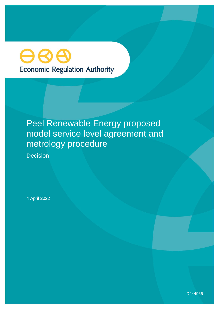# **Economic Regulation Authority**

## Peel Renewable Energy proposed model service level agreement and metrology procedure

**Decision** 

4 April 2022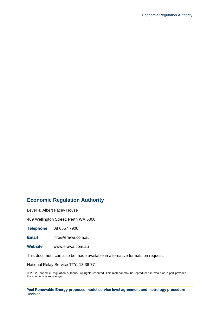## **Economic Regulation Authority**

Level 4, Albert Facey House

469 Wellington Street, Perth WA 6000

**Telephone** 08 6557 7900

**Email** info@erawa.com.au

**Website** www.erawa.com.au

This document can also be made available in alternative formats on request.

National Relay Service TTY: 13 36 77

© 2022 Economic Regulation Authority. All rights reserved. This material may be reproduced in whole or in part provided the source is acknowledged

**Peel Renewable Energy proposed model service level agreement and metrology procedure –** Decision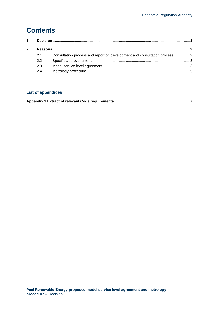## **Contents**

| 21  | Consultation process and report on development and consultation process2 |  |
|-----|--------------------------------------------------------------------------|--|
| 2.2 |                                                                          |  |
| 2.3 |                                                                          |  |
| 2.4 |                                                                          |  |
|     |                                                                          |  |

### **List of appendices**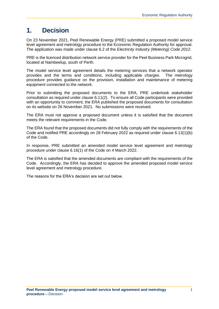## <span id="page-3-0"></span>**1. Decision**

On 23 November 2021, Peel Renewable Energy (PRE) submitted a proposed model service level agreement and metrology procedure to the Economic Regulation Authority for approval. The application was made under clause 6.2 of the *Electricity Industry (Metering) Code 2012*.

PRE is the licenced distribution network service provider for the Peel Business Park Microgrid, located at Nambeelup, south of Perth.

The model service level agreement details the metering services that a network operator provides and the terms and conditions, including applicable charges. The metrology procedure provides guidance on the provision, installation and maintenance of metering equipment connected to the network.

Prior to submitting the proposed documents to the ERA, PRE undertook stakeholder consultation as required under clause 6.11(2). To ensure all Code participants were provided with an opportunity to comment, the ERA published the proposed documents for consultation on its website on 26 November 2021. No submissions were received.

The ERA must not approve a proposed document unless it is satisfied that the document meets the relevant requirements in the Code.

The ERA found that the proposed documents did not fully comply with the requirements of the Code and notified PRE accordingly on 28 February 2022 as required under clause 6.13(1)(b) of the Code.

In response, PRE submitted an amended model service level agreement and metrology procedure under clause 6.16(1) of the Code on 4 March 2022.

The ERA is satisfied that the amended documents are compliant with the requirements of the Code. Accordingly, the ERA has decided to approve the amended proposed model service level agreement and metrology procedure.

The reasons for the ERA's decision are set out below.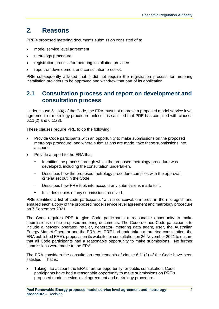## <span id="page-4-0"></span>**2. Reasons**

PRE's proposed metering documents submission consisted of a:

- model service level agreement
- metrology procedure
- registration process for metering installation providers
- report on development and consultation process.

PRE subsequently advised that it did not require the registration process for metering installation providers to be approved and withdrew that part of its application.

## <span id="page-4-1"></span>**2.1 Consultation process and report on development and consultation process**

Under clause 6.11(4) of the Code, the ERA must not approve a proposed model service level agreement or metrology procedure unless it is satisfied that PRE has complied with clauses 6.11(2) and 6.11(3).

These clauses require PRE to do the following:

- Provide Code participants with an opportunity to make submissions on the proposed metrology procedure; and where submissions are made, take these submissions into account.
- Provide a report to the ERA that:
	- Identifies the process through which the proposed metrology procedure was developed, including the consultation undertaken.
	- Describes how the proposed metrology procedure complies with the approval criteria set out in the Code.
	- Describes how PRE took into account any submissions made to it.
	- Includes copies of any submissions received.

PRE identified a list of code participants "with a conceivable interest in the microgrid" and emailed each a copy of the proposed model service level agreement and metrology procedure on 7 September 2021.

The Code requires PRE to give Code participants a reasonable opportunity to make submissions on the proposed metering documents. The Code defines Code participants to include a network operator, retailer, generator, metering data agent, user, the Australian Energy Market Operator and the ERA. As PRE had undertaken a targeted consultation, the ERA published PRE's proposal on its website for consultation on 26 November 2021 to ensure that all Code participants had a reasonable opportunity to make submissions. No further submissions were made to the ERA.

The ERA considers the consultation requirements of clause 6.11(2) of the Code have been satisfied. That is:

• Taking into account the ERA's further opportunity for public consultation, Code participants have had a reasonable opportunity to make submissions on PRE's proposed model service level agreement and metrology procedure.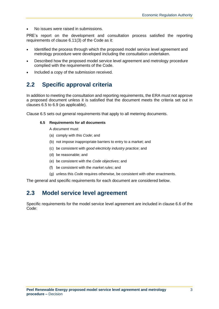• No issues were raised in submissions.

PRE's report on the development and consultation process satisfied the reporting requirements of clause 6.11(3) of the Code as it:

- Identified the process through which the proposed model service level agreement and metrology procedure were developed including the consultation undertaken.
- Described how the proposed model service level agreement and metrology procedure complied with the requirements of the Code.
- Included a copy of the submission received.

## <span id="page-5-0"></span>**2.2 Specific approval criteria**

In addition to meeting the consultation and reporting requirements, the ERA must not approve a proposed document unless it is satisfied that the document meets the criteria set out in clauses 6.5 to 6.9 (as applicable).

Clause 6.5 sets out general requirements that apply to all metering documents.

#### **6.5 Requirements for all documents**

A *document* must:

- (a) comply with this *Code*; and
- (b) not impose inappropriate barriers to entry to a market; and
- (c) be consistent with *good electricity industry practice*; and
- (d) be reasonable; and
- (e) be consistent with the *Code objectives*; and
- (f) be consistent with the *market rules*; and
- (g) unless this *Code* requires otherwise, be consistent with other enactments.

The general and specific requirements for each document are considered below.

## <span id="page-5-1"></span>**2.3 Model service level agreement**

Specific requirements for the model service level agreement are included in clause 6.6 of the Code: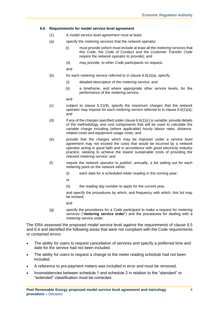#### **6.6 Requirements for model service level agreement**

- (1) A *model service level agreement* must at least:
- (a) specify the *metering services* that the *network operator*:
	- (i) must provide (which must include at least all the *metering services* that this *Code*, the *Code of Conduct* and the *Customer Transfer Code* require the *network operator* to provide); and
		- (ii) may provide, to other *Code participants* on request,

and

- (b) for each *metering service* referred to in clause 6.6(1)(a), specify:
	- (i) detailed description of the *metering service*; and
	- (ii) a timeframe, and where appropriate other service levels, for the performance of the *metering service*,

and

- (c) subject to clause 5.21(9), specify the maximum *charges* that the *network operator* may impose for each *metering service* referred to in clause 6.6(1)(a); and
- (d) if any of the *charges* specified under clause 6.6(1)(c) is variable, provide details of the methodology and cost components that will be used to calculate the variable *charge* including (where applicable) hourly labour rates, distancerelated costs and equipment usage costs; and
- (e) provide that the *charges* which may be imposed under a *service level agreement* may not exceed the costs that would be incurred by a *network operator* acting in good faith and in accordance with *good electricity industry practice*, seeking to achieve the lowest sustainable costs of providing the relevant *metering service*; and
- (f) require the *network operator* to *publish*, annually, a list setting out for each metering point on the network either:
	- (i) each date for a *scheduled meter reading* in the coming year;
	- or
	- (ii) the *reading day number* to apply for the current year,

and specify the procedures by which, and frequency with which, this list may be revised;

and

(g) specify the procedures for a *Code participant* to make a request for *metering services* ("**metering service order**") and the procedures for dealing with a *metering service order*.

The ERA assessed the proposed model service level against the requirements of clause 6.5 and 6.6 and identified the following areas that were not compliant with the Code requirements or contained errors:

- The ability for users to request cancellation of services and specify a preferred time and date for the service had not been included.
- The ability for users to request a change to the meter reading schedule had not been included.
- A reference to pre-payment meters was included in error and must be removed.
- Inconsistencies between schedule 1 and schedule 2 in relation to the "standard" or "extended" classification must be corrected.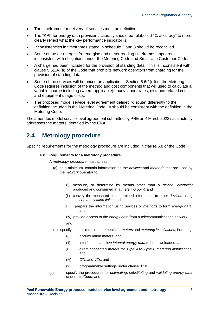- The timeframes for delivery of services must be definitive.
- The "KPI" for energy data provision accuracy should be relabelled "% accuracy" to more clearly reflect what the key performance indicator is.
- Inconsistencies in timeframes stated in schedule 2 and 3 should be reconciled.
- Some of the de-energise/re-energise and meter reading timeframes appeared inconsistent with obligations under the Metering Code and Small Use Customer Code.
- A charge had been included for the provision of standing data. This is inconsistent with clause 5.5(2A)(a) of the Code that prohibits network operators from charging for the provision of standing data.
- Some of the services will be priced on application. Section  $6.6(1)(d)$  of the Metering Code requires inclusion of the method and cost components that will used to calculate a variable charge including (where applicable) hourly labour rates, distance-related costs and equipment usage costs.
- The proposed model service level agreement defined "dispute" differently to the definition included in the Metering Code. It should be consistent with the definition in the Metering Code.

The amended model service level agreement submitted by PRE on 4 March 2022 satisfactorily addresses the matters identified by the ERA.

## <span id="page-7-0"></span>**2.4 Metrology procedure**

Specific requirements for the metrology procedure are included in clause 6.8 of the Code.

#### 6.8 **Requirements for a metrology procedure**

A *metrology procedure* must at least:

- (a) as a minimum, contain information on the *devices* and *methods* that are used by the *network operator* to:
	- (i) measure, or determine by means other than a *device*, *electricity* produced and consumed at a *metering point*: and
	- (ii) convey the measured or determined information to other *devices* using *communication links*; and
	- (iii) prepare the information using *devices* or *methods* to form *energy data*; and
	- (iv) provide access to the *energy data* from a telecommunications network;

and

- (b) specify the minimum requirements for *meters* and *metering installations*, including:
	- (i) accumulation meters; and
	- (ii) interfaces that allow *interval energy data* to be downloaded; and
	- (iii) direct connected *meters* for *Type 4* to *Type 6 metering installations*; and
	- (iv) *CTs* and *VTs*; and
	- (v) programmable settings under clause 3.10.
- (c) specify the procedures for *estimating*, *substituting* and *validating energy data* under this *Code*; and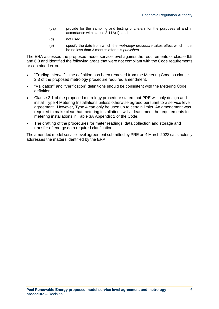- (ca) provide for the sampling and testing of *meters* for the purposes of and in accordance with clause 3.11A(1); and
- (d) not used
- (e) specify the date from which the *metrology procedure* takes effect which must be no less than 3 months after it is *published.*

The ERA assessed the proposed model service level against the requirements of clause 6.5 and 6.8 and identified the following areas that were not compliant with the Code requirements or contained errors:

- "Trading interval" the definition has been removed from the Metering Code so clause 2.3 of the proposed metrology procedure required amendment.
- "Validation" and "Verification" definitions should be consistent with the Metering Code definition
- Clause 2.1 of the proposed metrology procedure stated that PRE will only design and install Type 4 Metering Installations unless otherwise agreed pursuant to a service level agreement. However, Type 4 can only be used up to certain limits. An amendment was required to make clear that metering installations will at least meet the requirements for metering installations in Table 3A Appendix 1 of the Code.
- The drafting of the procedures for meter readings, data collection and storage and transfer of energy data required clarification.

The amended model service level agreement submitted by PRE on 4 March 2022 satisfactorily addresses the matters identified by the ERA.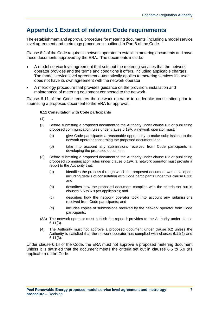## <span id="page-9-0"></span>**Appendix 1 Extract of relevant Code requirements**

The establishment and approval procedure for metering documents, including a model service level agreement and metrology procedure is outlined in Part 6 of the Code.

Clause 6.2 of the Code requires a network operator to establish metering documents and have these documents approved by the ERA. The documents include:

- A model service level agreement that sets out the metering services that the network operator provides and the terms and conditions it offers, including applicable charges. The model service level agreement automatically applies to metering services if a user does not have its own agreement with the network operator.
- A metrology procedure that provides guidance on the provision, installation and maintenance of metering equipment connected to the network.

Clause 6.11 of the Code requires the network operator to undertake consultation prior to submitting a proposed document to the ERA for approval.

#### **6.11 Consultation with Code participants**

- $(1)$  ...
- (2) Before submitting a proposed document to the Authority under clause 6.2 or publishing proposed communication rules under clause 6.19A, a network operator must:
	- (a) give Code participants a reasonable opportunity to make submissions to the network operator concerning the proposed document; and
	- (b) take into account any submissions received from Code participants in developing the proposed document.
- (3) Before submitting a proposed document to the Authority under clause 6.2 or publishing proposed communication rules under clause 6.19A, a network operator must provide a report to the Authority that:
	- (a) identifies the process through which the proposed document was developed, including details of consultation with Code participants under this clause 6.11; and
	- (b) describes how the proposed document complies with the criteria set out in clauses 6.5 to 6.9 (as applicable); and
	- (c) describes how the network operator took into account any submissions received from Code participants; and
	- (d) includes copies of submissions received by the network operator from Code participants.
- (3A) The network operator must publish the report it provides to the Authority under clause 6.11(3).
- (4) The Authority must not approve a proposed document under clause 6.2 unless the Authority is satisfied that the network operator has complied with clauses 6.11(2) and 6.11(3).

Under clause 6.14 of the Code, the ERA must not approve a proposed metering document unless it is satisfied that the document meets the criteria set out in clauses 6.5 to 6.9 (as applicable) of the Code.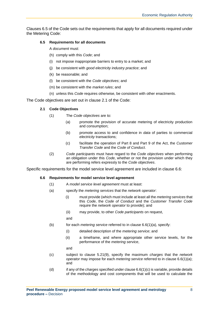Clauses 6.5 of the Code sets out the requirements that apply for all documents required under the Metering Code:

#### **6.5 Requirements for all documents**

A *document* must:

- (h) comply with this *Code*; and
- (i) not impose inappropriate barriers to entry to a market; and
- (j) be consistent with *good electricity industry practice*; and
- (k) be reasonable; and
- (l) be consistent with the *Code objectives*; and
- (m) be consistent with the *market rules*; and
- (n) unless this *Code* requires otherwise, be consistent with other enactments.

The Code objectives are set out in clause 2.1 of the Code:

#### **2.1 Code Objectives**

- (1) The *Code objectives* are to:
	- (a) promote the provision of accurate metering of electricity production and consumption;
	- (b) promote access to and confidence in *data* of parties to commercial *electricity* transactions;
	- (c) facilitate the operation of Part 8 and Part 9 of the Act, the *Customer Transfer Code* and the *Code of Conduct*.
- (2) *Code participants* must have regard to the *Code objectives* when performing an obligation under this *Code*, whether or not the provision under which they are performing refers expressly to the *Code objectives*.

Specific requirements for the model service level agreement are included in clause 6.6:

#### **6.6 Requirements for model service level agreement**

- (1) A *model service level agreement* must at least:
- (a) specify the *metering services* that the *network operator*:
	- (i) must provide (which must include at least all the *metering services* that this *Code*, the *Code of Conduct* and the *Customer Transfer Code* require the *network operator* to provide); and
		- (ii) may provide, to other *Code participants* on request,

and

- (b) for each *metering service* referred to in clause 6.6(1)(a), specify:
	- (i) detailed description of the *metering service*; and
	- (ii) a timeframe, and where appropriate other service levels, for the performance of the *metering service*,

and

- (c) subject to clause 5.21(9), specify the maximum *charges* that the *network operator* may impose for each *metering service* referred to in clause 6.6(1)(a); and
- (d) if any of the *charges* specified under clause 6.6(1)(c) is variable, provide details of the methodology and cost components that will be used to calculate the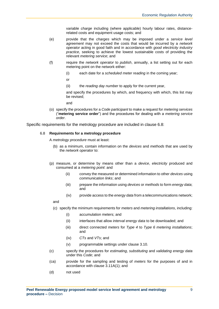variable *charge* including (where applicable) hourly labour rates, distancerelated costs and equipment usage costs; and

- (e) provide that the *charges* which may be imposed under a *service level agreement* may not exceed the costs that would be incurred by a *network operator* acting in good faith and in accordance with *good electricity industry practice*, seeking to achieve the lowest sustainable costs of providing the relevant *metering service*; and
- (f) require the *network operator* to *publish*, annually, a list setting out for each metering point on the network either:
	- (i) each date for a *scheduled meter reading* in the coming year;

or

(ii) the *reading day number* to apply for the current year,

and specify the procedures by which, and frequency with which, this list may be revised;

and

(o) specify the procedures for a *Code participant* to make a request for *metering services* ("**metering service order**") and the procedures for dealing with a *metering service order*.

Specific requirements for the metrology procedure are included in clause 6.8:

#### 6.8 **Requirements for a metrology procedure**

A *metrology procedure* must at least:

- (b) as a minimum, contain information on the *devices* and *methods* that are used by the *network operator* to:
- (p) measure, or determine by means other than a *device*, *electricity* produced and consumed at a *metering point*: and
	- (ii) convey the measured or determined information to other *devices* using *communication links*; and
	- (iii) prepare the information using *devices* or *methods* to form *energy data*; and
	- (iv) provide access to the *energy data* from a telecommunications network;

and

- (c) specify the minimum requirements for *meters* and *metering installations*, including:
	- (i) accumulation meters; and
	- (ii) interfaces that allow *interval energy data* to be downloaded; and
	- (iii) direct connected *meters* for *Type 4* to *Type 6 metering installations*; and
	- (iv) *CTs* and *VTs*; and
	- (v) programmable settings under clause 3.10.
- (c) specify the procedures for *estimating*, *substituting* and *validating energy data* under this *Code*; and
- (ca) provide for the sampling and testing of *meters* for the purposes of and in accordance with clause 3.11A(1); and
- (d) not used